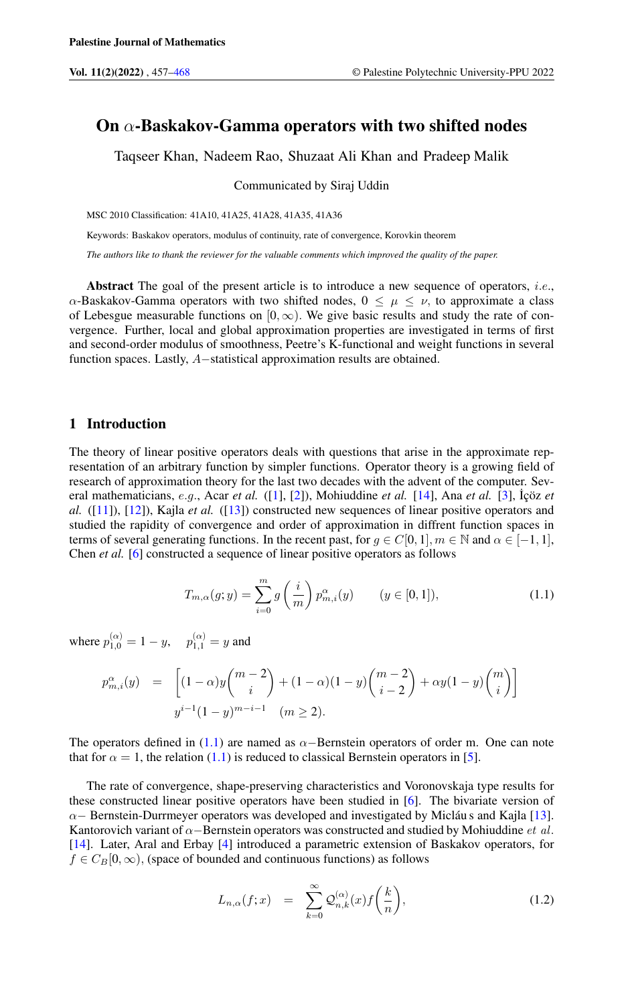# On  $\alpha$ -Baskakov-Gamma operators with two shifted nodes

Taqseer Khan, Nadeem Rao, Shuzaat Ali Khan and Pradeep Malik

Communicated by Siraj Uddin

MSC 2010 Classification: 41A10, 41A25, 41A28, 41A35, 41A36

Keywords: Baskakov operators, modulus of continuity, rate of convergence, Korovkin theorem

*The authors like to thank the reviewer for the valuable comments which improved the quality of the paper.*

Abstract The goal of the present article is to introduce a new sequence of operators, *i.e.*,  $\alpha$ -Baskakov-Gamma operators with two shifted nodes,  $0 \leq \mu \leq \nu$ , to approximate a class of Lebesgue measurable functions on  $[0, \infty)$ . We give basic results and study the rate of convergence. Further, local and global approximation properties are investigated in terms of first and second-order modulus of smoothness, Peetre's K-functional and weight functions in several function spaces. Lastly, A−statistical approximation results are obtained.

### 1 Introduction

The theory of linear positive operators deals with questions that arise in the approximate representation of an arbitrary function by simpler functions. Operator theory is a growing field of research of approximation theory for the last two decades with the advent of the computer. Several mathematicians, e.g., Acar *et al.* ([\[1\]](#page-10-1), [\[2\]](#page-11-0)), Mohiuddine *et al.* [\[14\]](#page-11-1), Ana *et al.* [\[3\]](#page-11-2), ˙Içöz *et al.* ([\[11\]](#page-11-3)), [\[12\]](#page-11-4)), Kajla *et al.* ([\[13\]](#page-11-5)) constructed new sequences of linear positive operators and studied the rapidity of convergence and order of approximation in diffrent function spaces in terms of several generating functions. In the recent past, for  $g \in C[0,1]$ ,  $m \in \mathbb{N}$  and  $\alpha \in [-1,1]$ , Chen *et al.* [\[6\]](#page-11-6) constructed a sequence of linear positive operators as follows

<span id="page-0-0"></span>
$$
T_{m,\alpha}(g;y) = \sum_{i=0}^{m} g\left(\frac{i}{m}\right) p_{m,i}^{\alpha}(y) \qquad (y \in [0,1]), \tag{1.1}
$$

where  $p_{1,0}^{(\alpha)} = 1 - y$ ,  $p_{1,1}^{(\alpha)} = y$  and

$$
p_{m,i}^{\alpha}(y) = \left[ (1-\alpha)y \binom{m-2}{i} + (1-\alpha)(1-y) \binom{m-2}{i-2} + \alpha y (1-y) \binom{m}{i} \right]
$$
  

$$
y^{i-1}(1-y)^{m-i-1} \quad (m \ge 2).
$$

The operators defined in [\(1.1\)](#page-0-0) are named as  $\alpha$ -Bernstein operators of order m. One can note that for  $\alpha = 1$ , the relation [\(1.1\)](#page-0-0) is reduced to classical Bernstein operators in [\[5\]](#page-11-7).

The rate of convergence, shape-preserving characteristics and Voronovskaja type results for these constructed linear positive operators have been studied in [\[6\]](#page-11-6). The bivariate version of  $\alpha$  – Bernstein-Durrmeyer operators was developed and investigated by Micláu s and Kajla [\[13\]](#page-11-5). Kantorovich variant of  $\alpha$ −Bernstein operators was constructed and studied by Mohiuddine *et al.* [\[14\]](#page-11-1). Later, Aral and Erbay [\[4\]](#page-11-8) introduced a parametric extension of Baskakov operators, for  $f \in C_B[0,\infty)$ , (space of bounded and continuous functions) as follows

<span id="page-0-1"></span>
$$
L_{n,\alpha}(f;x) = \sum_{k=0}^{\infty} \mathcal{Q}_{n,k}^{(\alpha)}(x) f\left(\frac{k}{n}\right), \qquad (1.2)
$$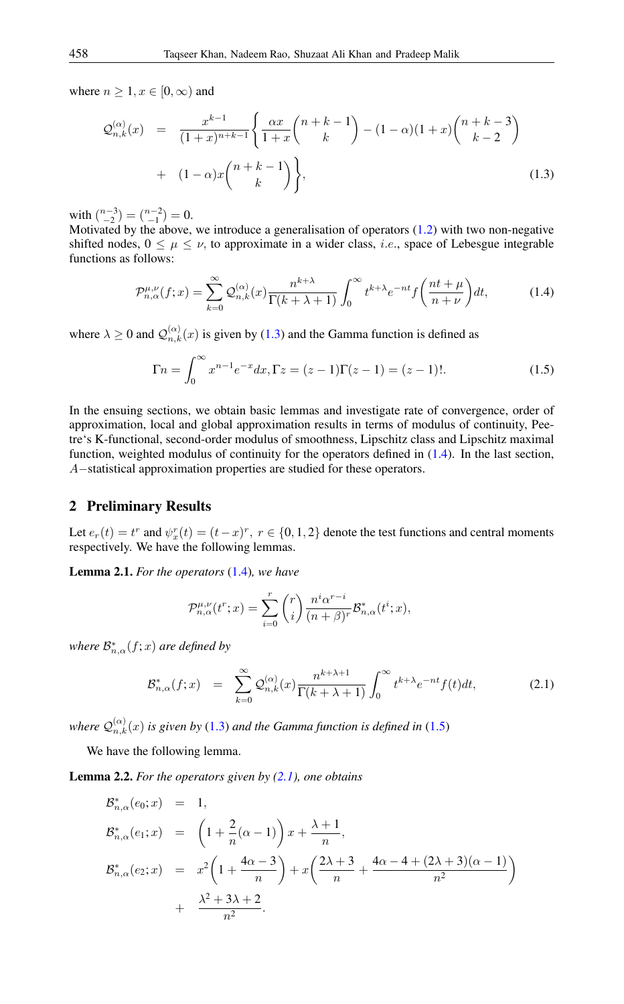where  $n \geq 1, x \in [0, \infty)$  and

<span id="page-1-0"></span>
$$
\mathcal{Q}_{n,k}^{(\alpha)}(x) = \frac{x^{k-1}}{(1+x)^{n+k-1}} \left\{ \frac{\alpha x}{1+x} {n+k-1 \choose k} - (1-\alpha)(1+x) {n+k-3 \choose k-2} + (1-\alpha)x {n+k-1 \choose k} \right\},
$$
\n(1.3)

with  $\binom{n-3}{-2} = \binom{n-2}{-1} = 0.$ 

Motivated by the above, we introduce a generalisation of operators [\(1.2\)](#page-0-1) with two non-negative shifted nodes,  $0 \leq \mu \leq \nu$ , to approximate in a wider class, *i.e.*, space of Lebesgue integrable functions as follows:

<span id="page-1-1"></span>
$$
\mathcal{P}_{n,\alpha}^{\mu,\nu}(f;x) = \sum_{k=0}^{\infty} \mathcal{Q}_{n,k}^{(\alpha)}(x) \frac{n^{k+\lambda}}{\Gamma(k+\lambda+1)} \int_0^{\infty} t^{k+\lambda} e^{-nt} f\left(\frac{nt+\mu}{n+\nu}\right) dt,\tag{1.4}
$$

where  $\lambda \ge 0$  and  $\mathcal{Q}_{n,k}^{(\alpha)}(x)$  is given by [\(1.3\)](#page-1-0) and the Gamma function is defined as

<span id="page-1-2"></span>
$$
\Gamma n = \int_0^\infty x^{n-1} e^{-x} dx, \Gamma z = (z - 1)\Gamma(z - 1) = (z - 1)!. \tag{1.5}
$$

In the ensuing sections, we obtain basic lemmas and investigate rate of convergence, order of approximation, local and global approximation results in terms of modulus of continuity, Peetre's K-functional, second-order modulus of smoothness, Lipschitz class and Lipschitz maximal function, weighted modulus of continuity for the operators defined in [\(1.4\)](#page-1-1). In the last section, A−statistical approximation properties are studied for these operators.

## 2 Preliminary Results

Let  $e_r(t) = t^r$  and  $\psi_x^r(t) = (t-x)^r$ ,  $r \in \{0, 1, 2\}$  denote the test functions and central moments respectively. We have the following lemmas.

<span id="page-1-4"></span>Lemma 2.1. *For the operators* [\(1.4\)](#page-1-1)*, we have*

$$
\mathcal{P}_{n,\alpha}^{\mu,\nu}(t^r;x) = \sum_{i=0}^r \binom{r}{i} \frac{n^i \alpha^{r-i}}{(n+\beta)^r} \mathcal{B}_{n,\alpha}^*(t^i;x),
$$

where  $\mathcal{B}^*_{n,\alpha}(f;x)$  are defined by

<span id="page-1-3"></span>
$$
\mathcal{B}_{n,\alpha}^*(f;x) = \sum_{k=0}^{\infty} \mathcal{Q}_{n,k}^{(\alpha)}(x) \frac{n^{k+\lambda+1}}{\Gamma(k+\lambda+1)} \int_0^{\infty} t^{k+\lambda} e^{-nt} f(t) dt,
$$
\n(2.1)

where  $\mathcal{Q}^{(\alpha)}_{n,k}(x)$  *is given by* [\(1.3\)](#page-1-0) *and the Gamma function is defined in* [\(1.5\)](#page-1-2)

We have the following lemma.

<span id="page-1-5"></span>Lemma 2.2. *For the operators given by [\(2.1\)](#page-1-3), one obtains*

$$
\mathcal{B}_{n,\alpha}^{*}(e_{0}; x) = 1,
$$
\n
$$
\mathcal{B}_{n,\alpha}^{*}(e_{1}; x) = \left(1 + \frac{2}{n}(\alpha - 1)\right)x + \frac{\lambda + 1}{n},
$$
\n
$$
\mathcal{B}_{n,\alpha}^{*}(e_{2}; x) = x^{2}\left(1 + \frac{4\alpha - 3}{n}\right) + x\left(\frac{2\lambda + 3}{n} + \frac{4\alpha - 4 + (2\lambda + 3)(\alpha - 1)}{n^{2}}\right) + \frac{\lambda^{2} + 3\lambda + 2}{n^{2}}.
$$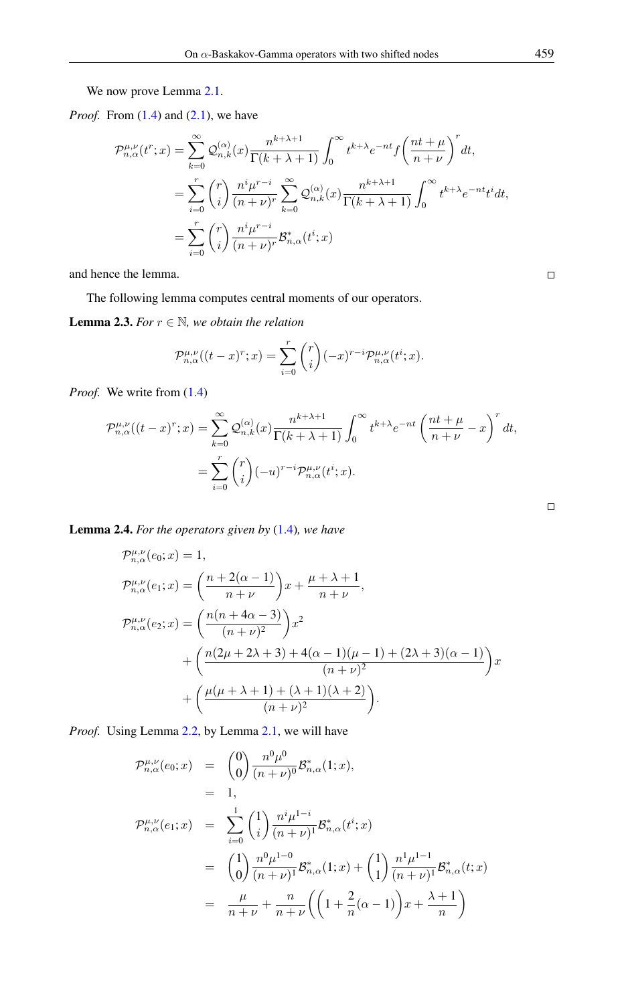We now prove Lemma [2.1.](#page-1-4)

*Proof.* From [\(1.4\)](#page-1-1) and [\(2.1\)](#page-1-3), we have

$$
\mathcal{P}_{n,\alpha}^{\mu,\nu}(t^r;x) = \sum_{k=0}^{\infty} \mathcal{Q}_{n,k}^{(\alpha)}(x) \frac{n^{k+\lambda+1}}{\Gamma(k+\lambda+1)} \int_0^{\infty} t^{k+\lambda} e^{-nt} f\left(\frac{nt+\mu}{n+\nu}\right)^r dt,
$$
  

$$
= \sum_{i=0}^r \binom{r}{i} \frac{n^i \mu^{r-i}}{(n+\nu)^r} \sum_{k=0}^{\infty} \mathcal{Q}_{n,k}^{(\alpha)}(x) \frac{n^{k+\lambda+1}}{\Gamma(k+\lambda+1)} \int_0^{\infty} t^{k+\lambda} e^{-nt} t^i dt,
$$
  

$$
= \sum_{i=0}^r \binom{r}{i} \frac{n^i \mu^{r-i}}{(n+\nu)^r} \mathcal{B}_{n,\alpha}^*(t^i;x)
$$

and hence the lemma.

The following lemma computes central moments of our operators.

<span id="page-2-1"></span>**Lemma 2.3.** *For*  $r \in \mathbb{N}$ *, we obtain the relation* 

$$
\mathcal{P}_{n,\alpha}^{\mu,\nu}((t-x)^r;x) = \sum_{i=0}^r \binom{r}{i} (-x)^{r-i} \mathcal{P}_{n,\alpha}^{\mu,\nu}(t^i;x).
$$

*Proof.* We write from  $(1.4)$ 

$$
\mathcal{P}_{n,\alpha}^{\mu,\nu}((t-x)^r;x) = \sum_{k=0}^{\infty} \mathcal{Q}_{n,k}^{(\alpha)}(x) \frac{n^{k+\lambda+1}}{\Gamma(k+\lambda+1)} \int_0^{\infty} t^{k+\lambda} e^{-nt} \left(\frac{nt+\mu}{n+\nu} - x\right)^r dt,
$$
  

$$
= \sum_{i=0}^r \binom{r}{i} (-u)^{r-i} \mathcal{P}_{n,\alpha}^{\mu,\nu}(t^i;x).
$$

<span id="page-2-0"></span>Lemma 2.4. *For the operators given by* [\(1.4\)](#page-1-1)*, we have*

$$
\mathcal{P}_{n,\alpha}^{\mu,\nu}(e_0; x) = 1,
$$
\n
$$
\mathcal{P}_{n,\alpha}^{\mu,\nu}(e_1; x) = \left(\frac{n+2(\alpha-1)}{n+\nu}\right)x + \frac{\mu+\lambda+1}{n+\nu},
$$
\n
$$
\mathcal{P}_{n,\alpha}^{\mu,\nu}(e_2; x) = \left(\frac{n(n+4\alpha-3)}{(n+\nu)^2}\right)x^2 + \left(\frac{n(2\mu+2\lambda+3)+4(\alpha-1)(\mu-1)+(2\lambda+3)(\alpha-1)}{(n+\nu)^2}\right)x + \left(\frac{\mu(\mu+\lambda+1)+(\lambda+1)(\lambda+2)}{(n+\nu)^2}\right).
$$

*Proof.* Using Lemma [2.2,](#page-1-5) by Lemma [2.1,](#page-1-3) we will have

$$
\mathcal{P}_{n,\alpha}^{\mu,\nu}(e_0; x) = \binom{0}{0} \frac{n^0 \mu^0}{(n+\nu)^0} \mathcal{B}_{n,\alpha}^*(1; x),
$$
  
\n= 1,  
\n
$$
\mathcal{P}_{n,\alpha}^{\mu,\nu}(e_1; x) = \sum_{i=0}^1 \binom{1}{i} \frac{n^i \mu^{1-i}}{(n+\nu)^1} \mathcal{B}_{n,\alpha}^*(t^i; x)
$$
  
\n= 
$$
\binom{1}{0} \frac{n^0 \mu^{1-0}}{(n+\nu)^1} \mathcal{B}_{n,\alpha}^*(1; x) + \binom{1}{1} \frac{n^1 \mu^{1-1}}{(n+\nu)^1} \mathcal{B}_{n,\alpha}^*(t; x)
$$
  
\n= 
$$
\frac{\mu}{n+\nu} + \frac{n}{n+\nu} \left( \left( 1 + \frac{2}{n} (\alpha - 1) \right) x + \frac{\lambda + 1}{n} \right)
$$

 $\Box$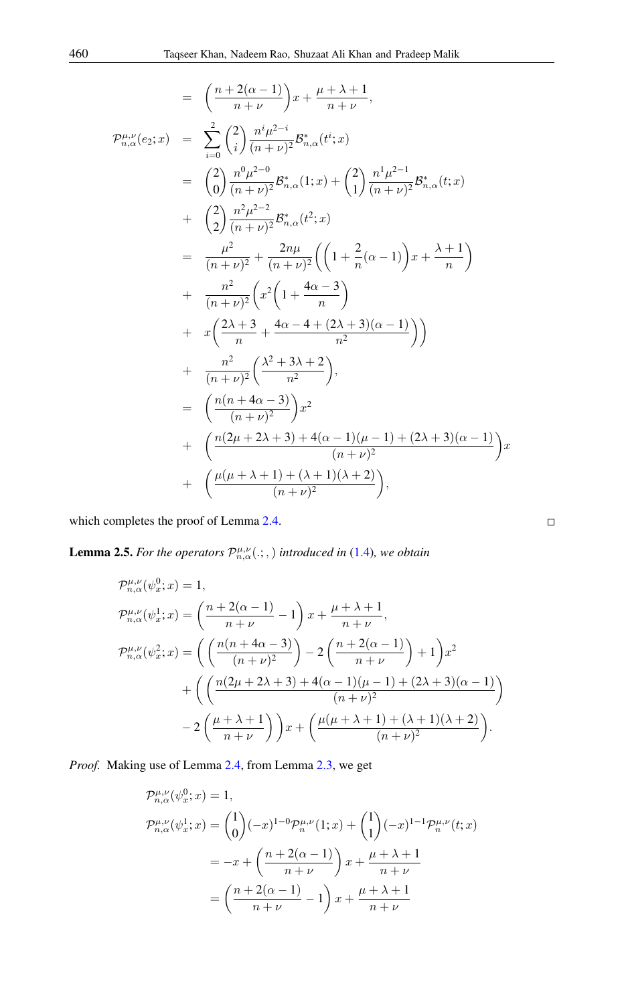$$
= \left(\frac{n+2(\alpha-1)}{n+\nu}\right)x + \frac{\mu+\lambda+1}{n+\nu},
$$
  
\n
$$
\mathcal{P}_{n,\alpha}^{\mu,\nu}(e_2;x) = \sum_{i=0}^{2} \left(\frac{2}{i}\right) \frac{n^{i}\mu^{2-i}}{(n+\nu)^2} \mathcal{B}_{n,\alpha}^{*}(t^{i};x)
$$
  
\n
$$
= \left(\frac{2}{0}\right) \frac{n^{0}\mu^{2-0}}{(n+\nu)^2} \mathcal{B}_{n,\alpha}^{*}(1;x) + \left(\frac{2}{1}\right) \frac{n^{1}\mu^{2-1}}{(n+\nu)^2} \mathcal{B}_{n,\alpha}^{*}(t;x)
$$
  
\n
$$
+ \left(\frac{2}{2}\right) \frac{n^{2}\mu^{2-2}}{(n+\nu)^2} \mathcal{B}_{n,\alpha}^{*}(t^{2};x)
$$
  
\n
$$
= \frac{\mu^{2}}{(n+\nu)^{2}} + \frac{2n\mu}{(n+\nu)^{2}} \left(\left(1 + \frac{2}{n}(\alpha-1)\right)x + \frac{\lambda+1}{n}\right)
$$
  
\n
$$
+ \frac{n^{2}}{(n+\nu)^{2}} \left(x^{2}\left(1 + \frac{4\alpha-3}{n}\right)
$$
  
\n
$$
+ x\left(\frac{2\lambda+3}{n} + \frac{4\alpha-4+(2\lambda+3)(\alpha-1)}{n^{2}}\right)\right)
$$
  
\n
$$
+ \frac{n^{2}}{(n+\nu)^{2}} \left(\frac{\lambda^{2}+3\lambda+2}{n^{2}}\right),
$$
  
\n
$$
= \left(\frac{n(n+4\alpha-3)}{(n+\nu)^{2}}\right)x^{2}
$$
  
\n
$$
+ \left(\frac{n(2\mu+2\lambda+3)+4(\alpha-1)(\mu-1)+(2\lambda+3)(\alpha-1)}{(n+\nu)^{2}}\right)x
$$
  
\n
$$
+ \left(\frac{\mu(\mu+\lambda+1)+( \lambda+1)(\lambda+2)}{(n+\nu)^{2}}\right),
$$

which completes the proof of Lemma [2.4.](#page-2-0)

<span id="page-3-0"></span>**Lemma 2.5.** For the operators  $\mathcal{P}_{n,\alpha}^{\mu,\nu}(\cdot;\cdot)$  introduced in [\(1.4\)](#page-1-1), we obtain

$$
\mathcal{P}_{n,\alpha}^{\mu,\nu}(\psi_x^0; x) = 1,
$$
\n
$$
\mathcal{P}_{n,\alpha}^{\mu,\nu}(\psi_x^1; x) = \left(\frac{n+2(\alpha-1)}{n+\nu} - 1\right) x + \frac{\mu+\lambda+1}{n+\nu},
$$
\n
$$
\mathcal{P}_{n,\alpha}^{\mu,\nu}(\psi_x^2; x) = \left(\left(\frac{n(n+4\alpha-3)}{(n+\nu)^2}\right) - 2\left(\frac{n+2(\alpha-1)}{n+\nu}\right) + 1\right) x^2 + \left(\left(\frac{n(2\mu+2\lambda+3)+4(\alpha-1)(\mu-1)+(2\lambda+3)(\alpha-1)}{(n+\nu)^2}\right) - 2\left(\frac{\mu+\lambda+1}{n+\nu}\right) x + \left(\frac{\mu(\mu+\lambda+1)+( \lambda+1)(\lambda+2)}{(n+\nu)^2}\right).
$$

*Proof.* Making use of Lemma [2.4,](#page-2-0) from Lemma [2.3,](#page-2-1) we get

$$
\begin{split} \mathcal{P}_{n,\alpha}^{\mu,\nu}(\psi_x^0; x) &= 1, \\ \mathcal{P}_{n,\alpha}^{\mu,\nu}(\psi_x^1; x) &= \binom{1}{0}(-x)^{1-0} \mathcal{P}_n^{\mu,\nu}(1; x) + \binom{1}{1}(-x)^{1-1} \mathcal{P}_n^{\mu,\nu}(t; x) \\ &= -x + \left(\frac{n+2(\alpha-1)}{n+\nu}\right) x + \frac{\mu+\lambda+1}{n+\nu} \\ &= \left(\frac{n+2(\alpha-1)}{n+\nu} - 1\right) x + \frac{\mu+\lambda+1}{n+\nu} \end{split}
$$

$$
\qquad \qquad \Box
$$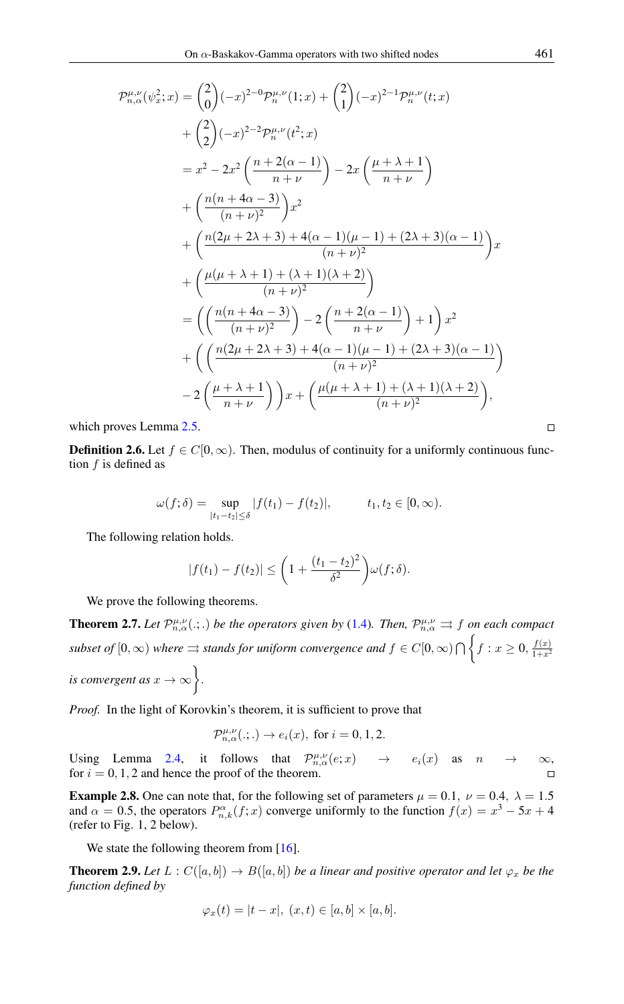$$
\mathcal{P}_{n,\alpha}^{\mu,\nu}(\psi_{x}^{2};x) = {2 \choose 0}(-x)^{2-0}\mathcal{P}_{n}^{\mu,\nu}(1;x) + {2 \choose 1}(-x)^{2-1}\mathcal{P}_{n}^{\mu,\nu}(t;x) \n+ {2 \choose 2}(-x)^{2-2}\mathcal{P}_{n}^{\mu,\nu}(t^{2};x) \n= x^{2} - 2x^{2} \left(\frac{n+2(\alpha-1)}{n+\nu}\right) - 2x \left(\frac{\mu+\lambda+1}{n+\nu}\right) \n+ \left(\frac{n(n+4\alpha-3)}{(n+\nu)^{2}}\right)x^{2} \n+ \left(\frac{n(2\mu+2\lambda+3)+4(\alpha-1)(\mu-1)+(2\lambda+3)(\alpha-1)}{(n+\nu)^{2}}\right)x \n+ \left(\frac{\mu(\mu+\lambda+1)+( \lambda+1)( \lambda+2)}{(n+\nu)^{2}}\right) \n= \left(\left(\frac{n(n+4\alpha-3)}{(n+\nu)^{2}}\right) - 2\left(\frac{n+2(\alpha-1)}{n+\nu}\right)+1\right)x^{2} \n+ \left(\left(\frac{n(2\mu+2\lambda+3)+4(\alpha-1)(\mu-1)+(2\lambda+3)(\alpha-1)}{(n+\nu)^{2}}\right) \n- 2\left(\frac{\mu+\lambda+1}{n+\nu}\right)\right)x + \left(\frac{\mu(\mu+\lambda+1)+( \lambda+1)( \lambda+2)}{(n+\nu)^{2}}\right),
$$

which proves Lemma [2.5.](#page-3-0)

**Definition 2.6.** Let  $f \in C[0,\infty)$ . Then, modulus of continuity for a uniformly continuous function  $f$  is defined as

$$
\omega(f; \delta) = \sup_{|t_1 - t_2| \le \delta} |f(t_1) - f(t_2)|, \qquad t_1, t_2 \in [0, \infty).
$$

The following relation holds.

$$
|f(t_1)-f(t_2)|\leq \bigg(1+\frac{(t_1-t_2)^2}{\delta^2}\bigg)\omega(f;\delta).
$$

We prove the following theorems.

**Theorem 2.7.** Let  $\mathcal{P}_{n,\alpha}^{\mu,\nu}(\cdot;\cdot)$  be the operators given by [\(1.4\)](#page-1-1). Then,  $\mathcal{P}_{n,\alpha}^{\mu,\nu}\Rightarrow f$  on each compact *subset of*  $[0, \infty)$  *where*  $\Rightarrow$  *stands for uniform convergence and*  $f \in C[0, \infty) \cap \left\{f : x \geq 0, \frac{f(x)}{1+x^2}\right\}$  $1+x^2$ *is convergent as*  $x \to \infty$ .

*Proof.* In the light of Korovkin's theorem, it is sufficient to prove that

$$
\mathcal{P}_{n,\alpha}^{\mu,\nu}(.;.)\to e_i(x),\text{ for }i=0,1,2.
$$

Using Lemma [2.4,](#page-2-0) it follows that  $\mathcal{P}_{n,\alpha}^{\mu,\nu}(e;x) \rightarrow e_i(x)$  as  $n \rightarrow \infty$ , for  $i = 0, 1, 2$  and hence the proof of the theorem.  $\Box$ 

**Example 2.8.** One can note that, for the following set of parameters  $\mu = 0.1$ ,  $\nu = 0.4$ ,  $\lambda = 1.5$ and  $\alpha = 0.5$ , the operators  $P_{n,k}^{\alpha}(f; x)$  converge uniformly to the function  $f(x) = x^3 - 5x + 4$ (refer to Fig. 1, 2 below).

We state the following theorem from [\[16\]](#page-11-9).

<span id="page-4-0"></span>**Theorem 2.9.** Let  $L: C([a, b]) \to B([a, b])$  be a linear and positive operator and let  $\varphi_x$  be the *function defined by*

$$
\varphi_x(t) = |t - x|, \ (x, t) \in [a, b] \times [a, b].
$$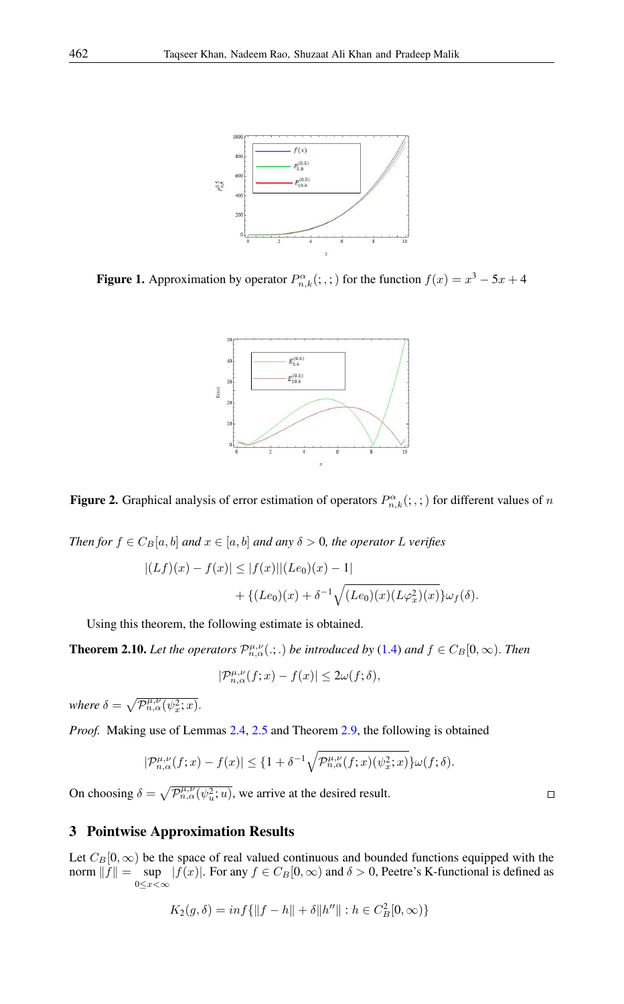

**Figure 1.** Approximation by operator  $P_{n,k}^{\alpha}$  $(:,,.)$  for the function  $f(x) = x^3 - 5x + 4$ 



**Figure 2.** Graphical analysis of error estimation of operators  $P_{n,k}^{\alpha}$  $(:,,:)$  for different values of n

*Then for*  $f \in C_B[a, b]$  *and*  $x \in [a, b]$  *and any*  $\delta > 0$ *, the operator* L *verifies* 

$$
|(Lf)(x) - f(x)| \le |f(x)| |(Le_0)(x) - 1|
$$
  
+ {(*Le*<sub>0</sub>)(x) +  $\delta^{-1} \sqrt{(Le_0)(x)(L\varphi_x^2)(x)}$ } $\omega_f(\delta)$ .

Using this theorem, the following estimate is obtained.

**Theorem 2.10.** Let the operators  $\mathcal{P}_{n,\alpha}^{\mu,\nu}(\cdot;\cdot)$  be introduced by [\(1.4\)](#page-1-1) and  $f \in C_B[0,\infty)$ . Then

$$
|\mathcal{P}^{\mu,\nu}_{n,\alpha}(f;x)-f(x)|\leq 2\omega(f;\delta),
$$

*where*  $\delta = \sqrt{\mathcal{P}_{n,\alpha}^{\mu,\nu}(\psi_x^2;x)}$ .

*Proof.* Making use of Lemmas [2.4,](#page-2-0) [2.5](#page-3-0) and Theorem [2.9,](#page-4-0) the following is obtained

$$
|\mathcal{P}_{n,\alpha}^{\mu,\nu}(f;x)-f(x)| \leq \{1+\delta^{-1}\sqrt{\mathcal{P}_{n,\alpha}^{\mu,\nu}(f;x)(\psi_x^2;x)}\}\omega(f;\delta).
$$

On choosing  $\delta = \sqrt{\mathcal{P}_{n,\alpha}^{\mu,\nu}(\psi_u^2; u)}$ , we arrive at the desired result.

## 3 Pointwise Approximation Results

Let  $C_B[0,\infty)$  be the space of real valued continuous and bounded functions equipped with the norm  $||f|| = \sup$  $\sup_{0 \le x < \infty} |f(x)|$ . For any  $f \in C_B[0, \infty)$  and  $\delta > 0$ , Peetre's K-functional is defined as

$$
K_2(g,\delta) = \inf \{ ||f - h|| + \delta ||h''|| : h \in C_B^2[0,\infty) \}
$$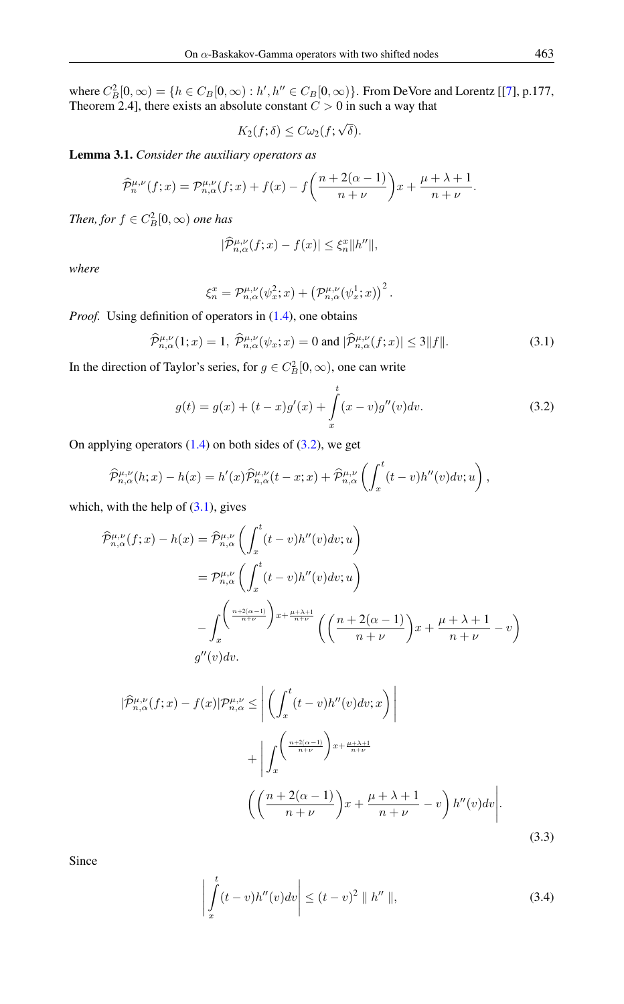where  $C_B^2[0,\infty) = \{h \in C_B[0,\infty) : h', h'' \in C_B[0,\infty)\}$ . From DeVore and Lorentz [[\[7\]](#page-11-10), p.177, Theorem 2.4], there exists an absolute constant  $C > 0$  in such a way that

$$
K_2(f; \delta) \leq C \omega_2(f; \sqrt{\delta}).
$$

<span id="page-6-4"></span>Lemma 3.1. *Consider the auxiliary operators as*

$$
\widehat{\mathcal{P}}_n^{\mu,\nu}(f;x) = \mathcal{P}_{n,\alpha}^{\mu,\nu}(f;x) + f(x) - f\left(\frac{n+2(\alpha-1)}{n+\nu}\right)x + \frac{\mu+\lambda+1}{n+\nu}.
$$

*Then, for*  $f \in C_B^2[0, \infty)$  *one has* 

$$
|\widehat{\mathcal{P}}_{n,\alpha}^{\mu,\nu}(f;x) - f(x)| \leq \xi_n^x \|h''\|,
$$

*where*

$$
\xi_n^x = \mathcal{P}_{n,\alpha}^{\mu,\nu}(\psi_x^2; x) + \left(\mathcal{P}_{n,\alpha}^{\mu,\nu}(\psi_x^1; x)\right)^2.
$$

*Proof.* Using definition of operators in  $(1.4)$ , one obtains

<span id="page-6-1"></span>
$$
\widehat{\mathcal{P}}_{n,\alpha}^{\mu,\nu}(1;x) = 1, \ \widehat{\mathcal{P}}_{n,\alpha}^{\mu,\nu}(\psi_x;x) = 0 \text{ and } |\widehat{\mathcal{P}}_{n,\alpha}^{\mu,\nu}(f;x)| \le 3||f||. \tag{3.1}
$$

In the direction of Taylor's series, for  $g \in C_B^2[0, \infty)$ , one can write

<span id="page-6-0"></span>
$$
g(t) = g(x) + (t - x)g'(x) + \int_{x}^{t} (x - v)g''(v)dv.
$$
 (3.2)

On applying operators  $(1.4)$  on both sides of  $(3.2)$ , we get

$$
\widehat{\mathcal{P}}_{n,\alpha}^{\mu,\nu}(h;x) - h(x) = h'(x)\widehat{\mathcal{P}}_{n,\alpha}^{\mu,\nu}(t-x;x) + \widehat{\mathcal{P}}_{n,\alpha}^{\mu,\nu}\left(\int_x^t (t-v)h''(v)dv;u\right),
$$

which, with the help of  $(3.1)$ , gives

$$
\hat{\mathcal{P}}_{n,\alpha}^{\mu,\nu}(f;x) - h(x) = \hat{\mathcal{P}}_{n,\alpha}^{\mu,\nu} \left( \int_x^t (t-v)h''(v)dv; u \right)
$$
  
\n
$$
= \mathcal{P}_{n,\alpha}^{\mu,\nu} \left( \int_x^t (t-v)h''(v)dv; u \right)
$$
  
\n
$$
- \int_x^t \left( \frac{n+2(\alpha-1)}{n+\nu} \right) x + \frac{\mu+\lambda+1}{n+\nu} \left( \left( \frac{n+2(\alpha-1)}{n+\nu} \right) x + \frac{\mu+\lambda+1}{n+\nu} - v \right)
$$
  
\n
$$
g''(v)dv.
$$

$$
|\widehat{\mathcal{P}}_{n,\alpha}^{\mu,\nu}(f;x) - f(x)|\mathcal{P}_{n,\alpha}^{\mu,\nu} \leq \left| \left( \int_x^t (t-v)h''(v)dv;x \right) \right|
$$
  
+ 
$$
\left| \int_x^{\left( \frac{n+2(\alpha-1)}{n+\nu} \right) x + \frac{\mu+\lambda+1}{n+\nu}} \left( \left( \frac{n+2(\alpha-1)}{n+\nu} \right) x + \frac{\mu+\lambda+1}{n+\nu} - v \right) h''(v)dv \right|.
$$
  
(3.3)

Since

<span id="page-6-3"></span><span id="page-6-2"></span>
$$
\left| \int_{x}^{t} (t - v) h''(v) dv \right| \le (t - v)^2 \parallel h'' \parallel,
$$
\n(3.4)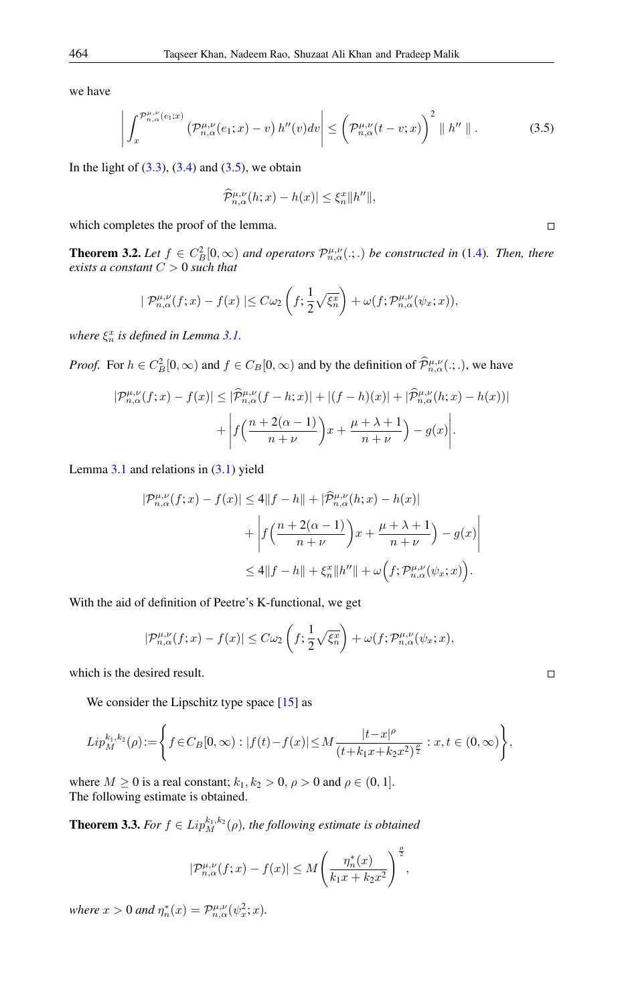we have

<span id="page-7-0"></span>
$$
\left| \int_x^{\mathcal{P}_{n,\alpha}^{\mu,\nu}(e_1;x)} \left( \mathcal{P}_{n,\alpha}^{\mu,\nu}(e_1;x) - v \right) h''(v) dv \right| \leq \left( \mathcal{P}_{n,\alpha}^{\mu,\nu}(t-v;x) \right)^2 \parallel h'' \parallel . \tag{3.5}
$$

In the light of  $(3.3)$ ,  $(3.4)$  and  $(3.5)$ , we obtain

$$
\widehat{\mathcal{P}}_{n,\alpha}^{\mu,\nu}(h;x) - h(x)| \leq \xi_n^x \|h''\|,
$$

which completes the proof of the lemma.

**Theorem 3.2.** Let  $f \in C_B^2[0,\infty)$  and operators  $\mathcal{P}_{n,\alpha}^{\mu,\nu}(\cdot;\cdot)$  be constructed in [\(1.4\)](#page-1-1). Then, there *exists a constant* C > 0 *such that*

$$
|\mathcal{P}_{n,\alpha}^{\mu,\nu}(f;x)-f(x)| \leq C\omega_2\left(f; \frac{1}{2}\sqrt{\xi_n^x}\right)+\omega(f; \mathcal{P}_{n,\alpha}^{\mu,\nu}(\psi_x;x)),
$$

where  $\xi_n^x$  is defined in Lemma [3.1.](#page-6-4)

*Proof.* For  $h \in C_B^2[0, \infty)$  and  $f \in C_B[0, \infty)$  and by the definition of  $\overline{\mathcal{P}}_{n,\alpha}^{\mu,\nu}(\cdot;\cdot)$ , we have

$$
|\mathcal{P}_{n,\alpha}^{\mu,\nu}(f;x) - f(x)| \leq |\widehat{\mathcal{P}}_{n,\alpha}^{\mu,\nu}(f-h;x)| + |(f-h)(x)| + |\widehat{\mathcal{P}}_{n,\alpha}^{\mu,\nu}(h;x) - h(x)| + \left| f\left(\frac{n+2(\alpha-1)}{n+\nu}\right)x + \frac{\mu+\lambda+1}{n+\nu}\right) - g(x)\right|.
$$

Lemma  $3.1$  and relations in  $(3.1)$  yield

$$
|\mathcal{P}_{n,\alpha}^{\mu,\nu}(f;x) - f(x)| \le 4\|f - h\| + |\widehat{\mathcal{P}}_{n,\alpha}^{\mu,\nu}(h;x) - h(x)|
$$
  
+ 
$$
\left| f\left(\frac{n+2(\alpha-1)}{n+\nu}\right)x + \frac{\mu+\lambda+1}{n+\nu}\right) - g(x) \right|
$$
  

$$
\le 4\|f - h\| + \xi_n^x \|h''\| + \omega\left(f; \mathcal{P}_{n,\alpha}^{\mu,\nu}(\psi_x; x)\right).
$$

With the aid of definition of Peetre's K-functional, we get

$$
|\mathcal{P}^{\mu,\nu}_{n,\alpha}(f;x)-f(x)| \leq C \omega_2 \left(f; \frac{1}{2} \sqrt{\xi_n^x}\right)+\omega(f; \mathcal{P}^{\mu,\nu}_{n,\alpha}(\psi_x; x),
$$

which is the desired result.

We consider the Lipschitz type space [\[15\]](#page-11-11) as

$$
Lip_M^{k_1,k_2}(\rho) := \left\{ f \in C_B[0,\infty) : |f(t) - f(x)| \le M \frac{|t - x|^{\rho}}{(t + k_1 x + k_2 x^2)^{\frac{\rho}{2}}} : x, t \in (0,\infty) \right\},\
$$

where  $M \ge 0$  is a real constant;  $k_1, k_2 > 0$ ,  $\rho > 0$  and  $\rho \in (0, 1]$ . The following estimate is obtained.

**Theorem 3.3.** *For*  $f \in Lip_M^{k_1,k_2}(\rho)$ , *the following estimate is obtained* 

$$
|\mathcal{P}_{n,\alpha}^{\mu,\nu}(f;x)-f(x)| \leq M\Bigg(\frac{\eta_n^*(x)}{k_1x+k_2x^2}\Bigg)^{\frac{\rho}{2}},
$$

*where*  $x > 0$  *and*  $\eta_n^*(x) = \mathcal{P}_{n,\alpha}^{\mu,\nu}(\psi_x^2; x)$ *.* 

 $\Box$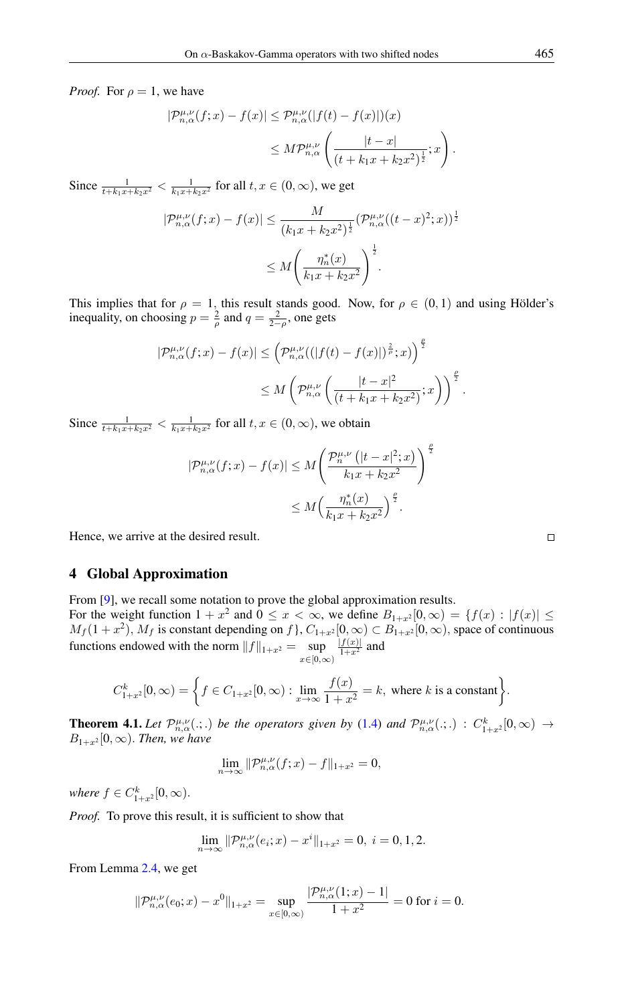*Proof.* For  $\rho = 1$ , we have

$$
\begin{aligned} |\mathcal{P}_{n,\alpha}^{\mu,\nu}(f;x) - f(x)| &\leq \mathcal{P}_{n,\alpha}^{\mu,\nu}(|f(t) - f(x)|)(x) \\ &\leq M \mathcal{P}_{n,\alpha}^{\mu,\nu} \left( \frac{|t-x|}{(t+k_1x+k_2x^2)^{\frac{1}{2}}};x \right). \end{aligned}
$$

Since  $\frac{1}{t+k_1x+k_2x^2} < \frac{1}{k_1x+k_2x^2}$  for all  $t, x \in (0, \infty)$ , we get

$$
|\mathcal{P}_{n,\alpha}^{\mu,\nu}(f;x) - f(x)| \le \frac{M}{(k_1x + k_2x^2)^{\frac{1}{2}}} (\mathcal{P}_{n,\alpha}^{\mu,\nu}((t-x)^2;x))^{\frac{1}{2}}
$$
  

$$
\le M \left(\frac{\eta_n^*(x)}{k_1x + k_2x^2}\right)^{\frac{1}{2}}.
$$

This implies that for  $\rho = 1$ , this result stands good. Now, for  $\rho \in (0,1)$  and using Hölder's inequality, on choosing  $p = \frac{2}{\rho}$  and  $q = \frac{2}{2-\rho}$ , one gets

$$
\begin{aligned} |\mathcal{P}_{n,\alpha}^{\mu,\nu}(f;x) - f(x)| &\leq \left(\mathcal{P}_{n,\alpha}^{\mu,\nu}((|f(t) - f(x)|)^{\frac{2}{\rho}};x)\right)^{\frac{\rho}{2}}\\ &\leq M\left(\mathcal{P}_{n,\alpha}^{\mu,\nu}\left(\frac{|t-x|^2}{(t+k_1x+k_2x^2)};x\right)\right)^{\frac{\rho}{2}}.\end{aligned}
$$

Since  $\frac{1}{t+k_1x+k_2x^2} < \frac{1}{k_1x+k_2x^2}$  for all  $t, x \in (0, \infty)$ , we obtain

$$
|\mathcal{P}_{n,\alpha}^{\mu,\nu}(f;x) - f(x)| \le M \left( \frac{\mathcal{P}_n^{\mu,\nu} \left( |t-x|^2; x \right)}{k_1 x + k_2 x^2} \right)^{\frac{\rho}{2}}
$$

$$
\le M \left( \frac{\eta_n^*(x)}{k_1 x + k_2 x^2} \right)^{\frac{\rho}{2}}.
$$

Hence, we arrive at the desired result.

### 4 Global Approximation

From [\[9\]](#page-11-12), we recall some notation to prove the global approximation results. For the weight function  $1 + x^2$  and  $0 \le x < \infty$ , we define  $B_{1+x^2}[0,\infty) = \{f(x) : |f(x)| \le x \}$  $M_f(1+x^2)$ ,  $M_f$  is constant depending on f,  $C_{1+x^2}[0,\infty) \subset B_{1+x^2}[0,\infty)$ , space of continuous functions endowed with the norm  $||f||_{1+x^2} = \sup_{x \in [0,\infty)}$  $\frac{|f(x)|}{1+x^2}$  and

$$
C_{1+x^2}^k[0,\infty) = \left\{ f \in C_{1+x^2}[0,\infty) : \lim_{x \to \infty} \frac{f(x)}{1+x^2} = k, \text{ where } k \text{ is a constant} \right\}.
$$

**Theorem 4.1.** *Let*  $\mathcal{P}_{n,\alpha}^{\mu,\nu}(\cdot;\cdot)$  *be the operators given by* [\(1.4\)](#page-1-1) *and*  $\mathcal{P}_{n,\alpha}^{\mu,\nu}(\cdot;\cdot)$  :  $C_{1+x^2}^k[0,\infty) \rightarrow$  $B_{1+x^2}[0,\infty)$ . *Then, we have* 

$$
\lim_{n \to \infty} \|\mathcal{P}_{n,\alpha}^{\mu,\nu}(f;x) - f\|_{1+x^2} = 0,
$$

where  $f \in C_{1+x^2}^k[0, \infty)$ .

*Proof.* To prove this result, it is sufficient to show that

$$
\lim_{n \to \infty} \|\mathcal{P}_{n,\alpha}^{\mu,\nu}(e_i; x) - x^i\|_{1+x^2} = 0, \ i = 0, 1, 2.
$$

From Lemma [2.4,](#page-2-0) we get

$$
\|\mathcal{P}_{n,\alpha}^{\mu,\nu}(e_0;x)-x^0\|_{1+x^2}=\sup_{x\in[0,\infty)}\frac{|\mathcal{P}_{n,\alpha}^{\mu,\nu}(1;x)-1|}{1+x^2}=0\text{ for }i=0.
$$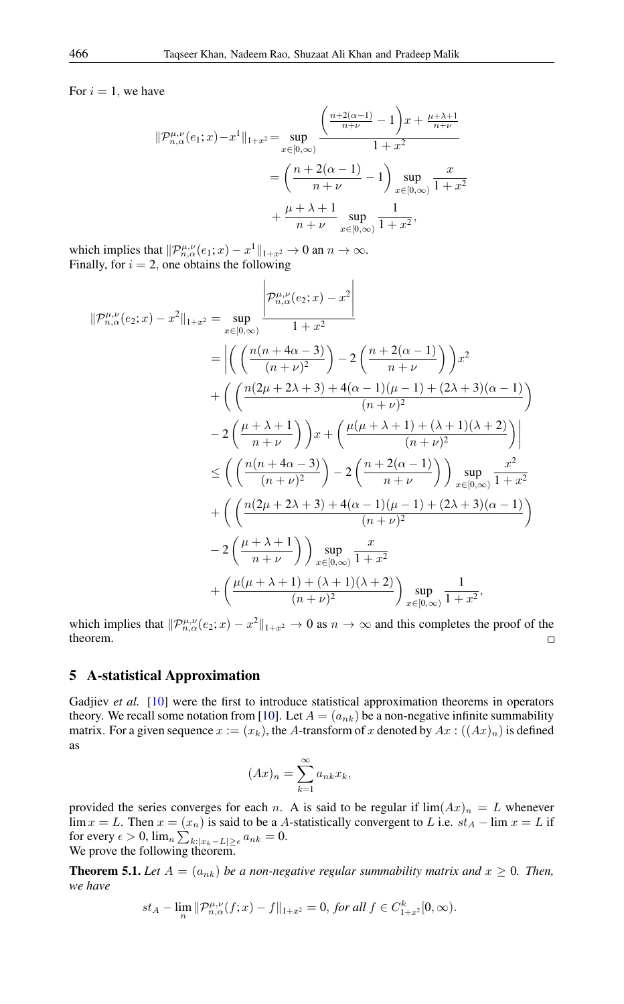For  $i = 1$ , we have

$$
\|\mathcal{P}_{n,\alpha}^{\mu,\nu}(e_1; x) - x^1\|_{1+x^2} = \sup_{x \in [0,\infty)} \frac{\left(\frac{n+2(\alpha-1)}{n+\nu} - 1\right)x + \frac{\mu+\lambda+1}{n+\nu}}{1+x^2}
$$

$$
= \left(\frac{n+2(\alpha-1)}{n+\nu} - 1\right) \sup_{x \in [0,\infty)} \frac{x}{1+x^2}
$$

$$
+ \frac{\mu+\lambda+1}{n+\nu} \sup_{x \in [0,\infty)} \frac{1}{1+x^2},
$$

which implies that  $\|\mathcal{P}_{n,\alpha}^{\mu,\nu}(e_1;x) - x^1\|_{1+x^2} \to 0$  an  $n \to \infty$ . Finally, for  $i = 2$ , one obtains the following

$$
\|\mathcal{P}_{n,\alpha}^{\mu,\nu}(e_2;x) - x^2\|_{1+x^2} = \sup_{x \in [0,\infty)} \frac{\left|\mathcal{P}_{n,\alpha}^{\mu,\nu}(e_2;x) - x^2\right|}{1+x^2}
$$
  
\n
$$
= \left| \left( \frac{n(n+4\alpha-3)}{(n+\nu)^2} \right) - 2\left(\frac{n+2(\alpha-1)}{n+\nu}\right) \right)x^2 + \left( \left( \frac{n(2\mu+2\lambda+3)+4(\alpha-1)(\mu-1)+(2\lambda+3)(\alpha-1)}{(n+\nu)^2} \right) \right)
$$
  
\n
$$
- 2\left(\frac{\mu+\lambda+1}{n+\nu}\right)x + \left( \frac{\mu(\mu+\lambda+1)+(\lambda+1)(\lambda+2)}{(n+\nu)^2} \right) \right|
$$
  
\n
$$
\leq \left( \left( \frac{n(n+4\alpha-3)}{(n+\nu)^2} \right) - 2\left(\frac{n+2(\alpha-1)}{n+\nu}\right) \right) \sup_{x \in [0,\infty)} \frac{x^2}{1+x^2}
$$
  
\n
$$
+ \left( \left( \frac{n(2\mu+2\lambda+3)+4(\alpha-1)(\mu-1)+(2\lambda+3)(\alpha-1)}{(n+\nu)^2} \right) \right)
$$
  
\n
$$
- 2\left(\frac{\mu+\lambda+1}{n+\nu}\right) \sup_{x \in [0,\infty)} \frac{x}{1+x^2}
$$
  
\n
$$
+ \left( \frac{\mu(\mu+\lambda+1)+( \lambda+1)( \lambda+2)}{(n+\nu)^2} \right) \sup_{x \in [0,\infty)} \frac{1}{1+x^2},
$$

which implies that  $\|P_{n,\alpha}^{\mu,\nu}(e_2;x) - x^2\|_{1+x^2} \to 0$  as  $n \to \infty$  and this completes the proof of the theorem.  $\Box$ 

#### 5 A-statistical Approximation

Gadjiev *et al.* [\[10\]](#page-11-13) were the first to introduce statistical approximation theorems in operators theory. We recall some notation from [\[10\]](#page-11-13). Let  $A = (a_{nk})$  be a non-negative infinite summability matrix. For a given sequence  $x := (x_k)$ , the A-transform of x denoted by  $Ax : ((Ax)_n)$  is defined as

$$
(Ax)_n = \sum_{k=1}^{\infty} a_{nk} x_k,
$$

provided the series converges for each n. A is said to be regular if  $\lim (Ax)_n = L$  whenever  $\lim x = L$ . Then  $x = (x_n)$  is said to be a A-statistically convergent to L i.e.  $st_A - \lim x = L$  if for every  $\epsilon > 0$ ,  $\lim_{n \sum_{k:|x_k - L| \ge \epsilon} a_{nk}} = 0$ . We prove the following theorem.

<span id="page-9-0"></span>**Theorem 5.1.** Let  $A = (a_{nk})$  be a non-negative regular summability matrix and  $x \ge 0$ . Then, *we have*

$$
st_A-\lim_n \|\mathcal{P}^{\mu,\nu}_{n,\alpha}(f;x)-f\|_{1+x^2}=0, \text{ for all } f \in C^k_{1+x^2}[0,\infty).
$$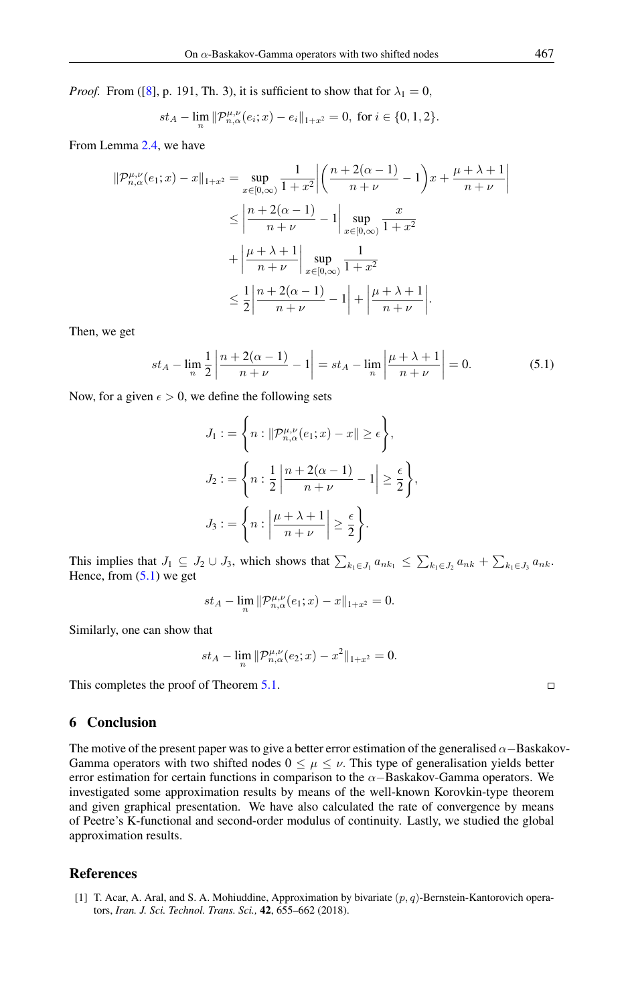*Proof.* From ([\[8\]](#page-11-14), p. 191, Th. 3), it is sufficient to show that for  $\lambda_1 = 0$ ,

$$
st_A - \lim_{n} \|\mathcal{P}_{n,\alpha}^{\mu,\nu}(e_i; x) - e_i\|_{1+x^2} = 0, \text{ for } i \in \{0, 1, 2\}.
$$

From Lemma [2.4,](#page-2-0) we have

$$
\|\mathcal{P}_{n,\alpha}^{\mu,\nu}(e_1; x) - x\|_{1+x^2} = \sup_{x \in [0,\infty)} \frac{1}{1+x^2} \left| \left( \frac{n+2(\alpha-1)}{n+\nu} - 1 \right) x + \frac{\mu+\lambda+1}{n+\nu} \right|
$$
  
\n
$$
\leq \left| \frac{n+2(\alpha-1)}{n+\nu} - 1 \right| \sup_{x \in [0,\infty)} \frac{x}{1+x^2}
$$
  
\n
$$
+ \left| \frac{\mu+\lambda+1}{n+\nu} \right| \sup_{x \in [0,\infty)} \frac{1}{1+x^2}
$$
  
\n
$$
\leq \frac{1}{2} \left| \frac{n+2(\alpha-1)}{n+\nu} - 1 \right| + \left| \frac{\mu+\lambda+1}{n+\nu} \right|.
$$

Then, we get

<span id="page-10-2"></span>
$$
st_A - \lim_{n} \frac{1}{2} \left| \frac{n + 2(\alpha - 1)}{n + \nu} - 1 \right| = st_A - \lim_{n} \left| \frac{\mu + \lambda + 1}{n + \nu} \right| = 0.
$$
 (5.1)

Now, for a given  $\epsilon > 0$ , we define the following sets

$$
J_1 := \left\{ n : \|\mathcal{P}_{n,\alpha}^{\mu,\nu}(e_1; x) - x\| \ge \epsilon \right\},\,
$$
  

$$
J_2 := \left\{ n : \frac{1}{2} \left| \frac{n + 2(\alpha - 1)}{n + \nu} - 1 \right| \ge \frac{\epsilon}{2} \right\},\,
$$
  

$$
J_3 := \left\{ n : \left| \frac{\mu + \lambda + 1}{n + \nu} \right| \ge \frac{\epsilon}{2} \right\}.
$$

This implies that  $J_1 \subseteq J_2 \cup J_3$ , which shows that  $\sum_{k_1 \in J_1} a_{nk_1} \leq \sum_{k_1 \in J_2} a_{nk} + \sum_{k_1 \in J_3} a_{nk}$ . Hence, from  $(5.1)$  we get

$$
st_A - \lim_n \| \mathcal{P}^{\mu,\nu}_{n,\alpha}(e_1; x) - x \|_{1+x^2} = 0.
$$

Similarly, one can show that

$$
st_A - \lim_{n} \|\mathcal{P}_{n,\alpha}^{\mu,\nu}(e_2; x) - x^2\|_{1+x^2} = 0.
$$

This completes the proof of Theorem [5.1.](#page-9-0)

#### 6 Conclusion

The motive of the present paper was to give a better error estimation of the generalised  $\alpha$ –Baskakov-Gamma operators with two shifted nodes  $0 \leq \mu \leq \nu$ . This type of generalisation yields better error estimation for certain functions in comparison to the  $\alpha$ -Baskakov-Gamma operators. We investigated some approximation results by means of the well-known Korovkin-type theorem and given graphical presentation. We have also calculated the rate of convergence by means of Peetre's K-functional and second-order modulus of continuity. Lastly, we studied the global approximation results.

#### <span id="page-10-0"></span>References

<span id="page-10-1"></span>[1] T. Acar, A. Aral, and S. A. Mohiuddine, Approximation by bivariate  $(p, q)$ -Bernstein-Kantorovich operators, *Iran. J. Sci. Technol. Trans. Sci.,* 42, 655–662 (2018).